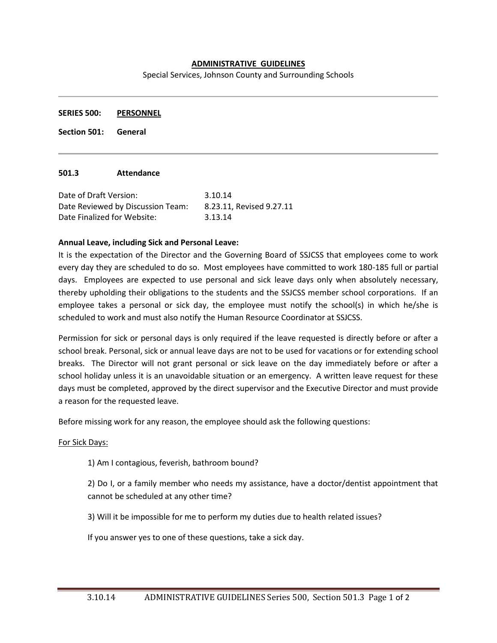## **ADMINISTRATIVE GUIDELINES**

Special Services, Johnson County and Surrounding Schools

**SERIES 500: PERSONNEL**

**Section 501: General**

#### **501.3 Attendance**

| Date of Draft Version:            | 3.10.14                  |
|-----------------------------------|--------------------------|
| Date Reviewed by Discussion Team: | 8.23.11, Revised 9.27.11 |
| Date Finalized for Website:       | 3.13.14                  |

### **Annual Leave, including Sick and Personal Leave:**

It is the expectation of the Director and the Governing Board of SSJCSS that employees come to work every day they are scheduled to do so. Most employees have committed to work 180-185 full or partial days. Employees are expected to use personal and sick leave days only when absolutely necessary, thereby upholding their obligations to the students and the SSJCSS member school corporations. If an employee takes a personal or sick day, the employee must notify the school(s) in which he/she is scheduled to work and must also notify the Human Resource Coordinator at SSJCSS.

Permission for sick or personal days is only required if the leave requested is directly before or after a school break. Personal, sick or annual leave days are not to be used for vacations or for extending school breaks. The Director will not grant personal or sick leave on the day immediately before or after a school holiday unless it is an unavoidable situation or an emergency. A written leave request for these days must be completed, approved by the direct supervisor and the Executive Director and must provide a reason for the requested leave.

Before missing work for any reason, the employee should ask the following questions:

#### For Sick Days:

1) Am I contagious, feverish, bathroom bound?

2) Do I, or a family member who needs my assistance, have a doctor/dentist appointment that cannot be scheduled at any other time?

3) Will it be impossible for me to perform my duties due to health related issues?

If you answer yes to one of these questions, take a sick day.